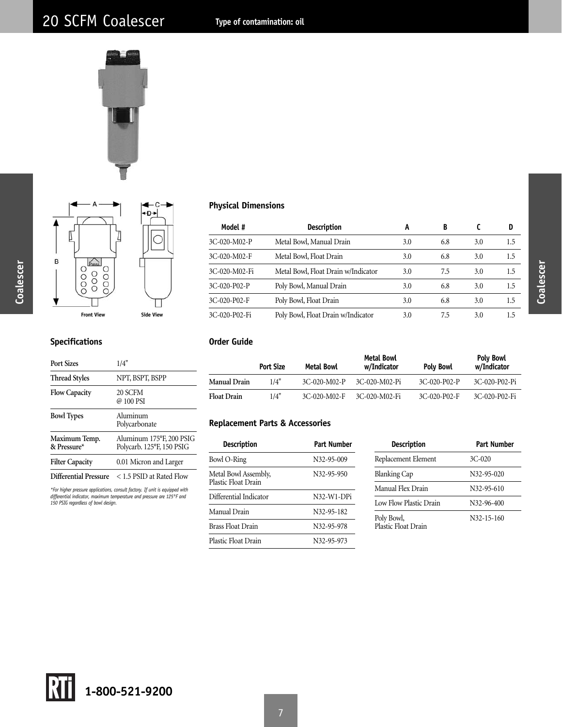



| Model #       | <b>Description</b>                  | A   | B   |     | D       |
|---------------|-------------------------------------|-----|-----|-----|---------|
| 3C-020-M02-P  | Metal Bowl, Manual Drain            | 3.0 | 6.8 | 3.0 | 1.5     |
| 3C-020-M02-F  | Metal Bowl, Float Drain             | 3.0 | 6.8 | 3.0 | 1.5     |
| 3C-020-M02-Fi | Metal Bowl, Float Drain w/Indicator | 3.0 | 7.5 | 3.0 | 1.5     |
| 3C-020-P02-P  | Poly Bowl, Manual Drain             | 3.0 | 6.8 | 3.0 | 1.5     |
| 3C-020-P02-F  | Poly Bowl, Float Drain              | 3.0 | 6.8 | 3.0 | $1.5\,$ |
| 3C-020-P02-Fi | Poly Bowl, Float Drain w/Indicator  | 3.0 | 7.5 | 3.0 | 1.5     |

## **Specifications**

| <b>Port Sizes</b>            | 1/4"                                                  |
|------------------------------|-------------------------------------------------------|
| <b>Thread Styles</b>         | NPT, BSPT, BSPP                                       |
| <b>Flow Capacity</b>         | 20 SCFM<br>@ 100 PSI                                  |
| <b>Bowl Types</b>            | Aluminum<br>Polycarbonate                             |
| Maximum Temp.<br>& Pressure* | Aluminum 175°F, 200 PSIG<br>Polycarb. 125°F, 150 PSIG |
| <b>Filter Capacity</b>       | 0.01 Micron and Larger                                |
| Differential Pressure        | < 1.5 PSID at Rated Flow                              |

*\*For higher pressure applications, consult factory. If unit is equipped with differential indicator, maximum temperature and pressure are 125°F and 150 PSIG regardless of bowl design.*

#### **Order Guide**

|                    | <b>Port Size</b> | Metal Bowl     | Metal Bowl<br>w/Indicator | <b>Poly Bowl</b> | <b>Poly Bowl</b><br>w/Indicator |
|--------------------|------------------|----------------|---------------------------|------------------|---------------------------------|
| Manual Drain       | 1/4"             | $3C-020-M02-P$ | 3C-020-M02-Pi             | $3C-020-P02-P$   | 3C-020-P02-Pi                   |
| <b>Float Drain</b> | 1/4"             | 3C-020-M02-F   | 3C-020-M02-Fi             | 3C-020-P02-F     | 3C-020-P02-Fi                   |

## **Replacement Parts & Accessories**

| Description                                 | Part Number                          |
|---------------------------------------------|--------------------------------------|
| Bowl O-Ring                                 | N32-95-009                           |
| Metal Bowl Assembly,<br>Plastic Float Drain | N32-95-950                           |
| Differential Indicator                      | N <sub>32</sub> -W <sub>1</sub> -DPi |
| Manual Drain                                | N32-95-182                           |
| <b>Brass Float Drain</b>                    | N32-95-978                           |
| Plastic Float Drain                         | N32-95-973                           |

| Description                       | Part Number      |
|-----------------------------------|------------------|
| Replacement Element               | $3C-020$         |
| <b>Blanking Cap</b>               | N32-95-020       |
| Manual Flex Drain                 | N32-95-610       |
| Low Flow Plastic Drain            | N32-96-400       |
| Poly Bowl,<br>Plastic Float Drain | $N32 - 15 - 160$ |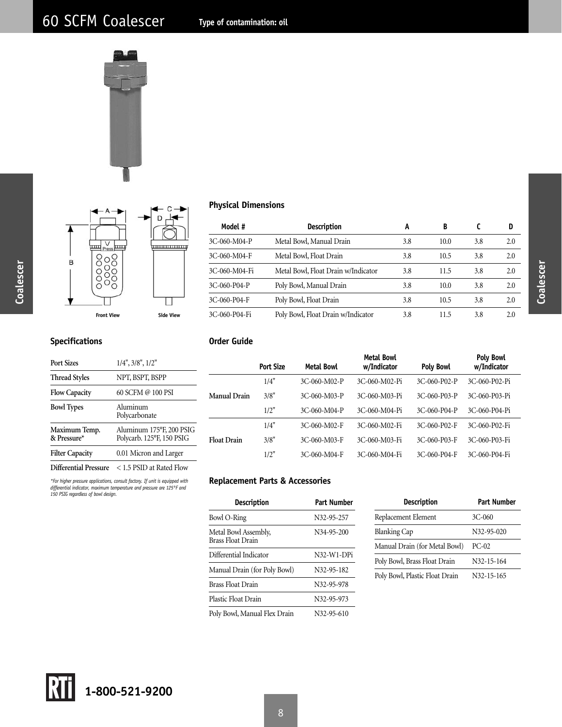



| Model #       | <b>Description</b>                  | A   | B    |     | D   |
|---------------|-------------------------------------|-----|------|-----|-----|
| 3C-060-M04-P  | Metal Bowl, Manual Drain            | 3.8 | 10.0 | 3.8 | 2.0 |
| 3C-060-M04-F  | Metal Bowl, Float Drain             | 3.8 | 10.5 | 3.8 | 2.0 |
| 3C-060-M04-Fi | Metal Bowl, Float Drain w/Indicator | 3.8 | 11.5 | 3.8 | 2.0 |
| 3C-060-P04-P  | Poly Bowl, Manual Drain             | 3.8 | 10.0 | 3.8 | 2.0 |
| 3C-060-P04-F  | Poly Bowl, Float Drain              | 3.8 | 10.5 | 3.8 | 2.0 |
| 3C-060-P04-Fi | Poly Bowl, Float Drain w/Indicator  | 3.8 | 11.5 | 3.8 | 2.0 |

## **Specifications**

**Coalescer**

Coalescer

| Port Sizes                   | $1/4$ ", $3/8$ ", $1/2$ "                             |
|------------------------------|-------------------------------------------------------|
| <b>Thread Styles</b>         | NPT, BSPT, BSPP                                       |
| <b>Flow Capacity</b>         | 60 SCFM @ 100 PSI                                     |
| <b>Bowl Types</b>            | Aluminum<br>Polycarbonate                             |
| Maximum Temp.<br>& Pressure* | Aluminum 175°F, 200 PSIG<br>Polycarb. 125°F, 150 PSIG |
| <b>Filter Capacity</b>       | 0.01 Micron and Larger                                |
| Differential Pressure        | $<$ 1.5 PSID at Rated Flow                            |

*\*For higher pressure applications, consult factory. If unit is equipped with differential indicator, maximum temperature and pressure are 125°F and 150 PSIG regardless of bowl design.*

**Order Guide**

|                    | <b>Port Size</b> | Metal Bowl   | <b>Metal Bowl</b><br>w/Indicator | <b>Poly Bowl</b> | <b>Poly Bowl</b><br>w/Indicator |
|--------------------|------------------|--------------|----------------------------------|------------------|---------------------------------|
|                    | 1/4"             | 3C-060-M02-P | 3C-060-M02-Pi                    | 3C-060-P02-P     | 3C-060-P02-Pi                   |
| Manual Drain       | 3/8"             | 3C-060-M03-P | 3C-060-M03-Pi                    | 3C-060-P03-P     | 3C-060-P03-Pi                   |
|                    | 1/2"             | 3C-060-M04-P | 3C-060-M04-Pi                    | 3C-060-P04-P     | 3C-060-P04-Pi                   |
|                    | 1/4"             | 3C-060-M02-F | 3C-060-M02-Fi                    | 3C-060-P02-F     | 3C-060-P02-Fi                   |
| <b>Float Drain</b> | 3/8"             | 3C-060-M03-F | 3C-060-M03-Fi                    | 3C-060-P03-F     | 3C-060-P03-Fi                   |
|                    | 1/2"             | 3C-060-M04-F | 3C-060-M04-Fi                    | 3C-060-P04-F     | 3C-060-P04-Fi                   |

## **Replacement Parts & Accessories**

| Description                               | Part Number |
|-------------------------------------------|-------------|
| Bowl O-Ring                               | N32-95-257  |
| Metal Bowl Assembly,<br>Brass Float Drain | N34-95-200  |
| Differential Indicator                    | N32-W1-DPi  |
| Manual Drain (for Poly Bowl)              | N32-95-182  |
| <b>Brass Float Drain</b>                  | N32-95-978  |
| Plastic Float Drain                       | N32-95-973  |
| Poly Bowl, Manual Flex Drain              | N32-95-610  |

| Description                    | Part Number |
|--------------------------------|-------------|
| Replacement Element            | 3C-060      |
| <b>Blanking Cap</b>            | N32-95-020  |
| Manual Drain (for Metal Bowl)  | $PC-02$     |
| Poly Bowl, Brass Float Drain   | N32-15-164  |
| Poly Bowl, Plastic Float Drain | N32-15-165  |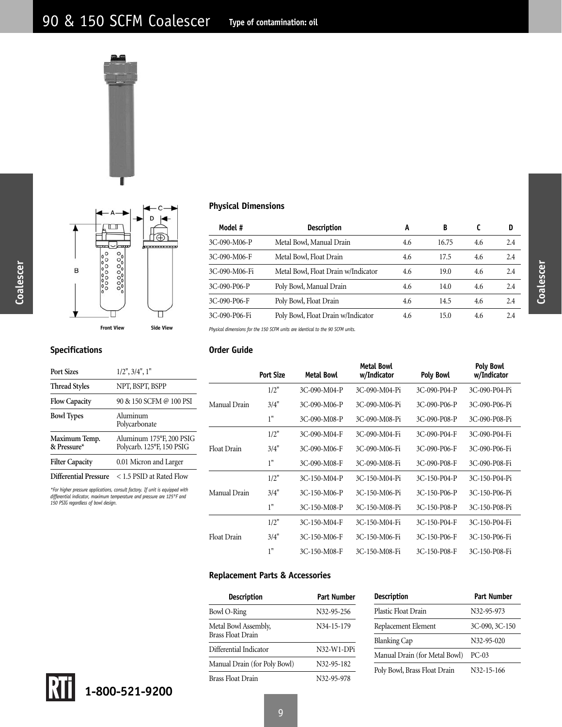



**Order Guide**

| Model #       | <b>Description</b>                  | A   | B     |     | D   |
|---------------|-------------------------------------|-----|-------|-----|-----|
| 3C-090-M06-P  | Metal Bowl, Manual Drain            | 4.6 | 16.75 | 4.6 | 2.4 |
| 3C-090-M06-F  | Metal Bowl, Float Drain             | 4.6 | 17.5  | 4.6 | 2.4 |
| 3C-090-M06-Fi | Metal Bowl, Float Drain w/Indicator | 4.6 | 19.0  | 4.6 | 2.4 |
| 3C-090-P06-P  | Poly Bowl, Manual Drain             | 4.6 | 14.0  | 4.6 | 2.4 |
| 3C-090-P06-F  | Poly Bowl, Float Drain              | 4.6 | 14.5  | 4.6 | 2.4 |
| 3C-090-P06-Fi | Poly Bowl, Float Drain w/Indicator  | 4.6 | 15.0  | 4.6 | 2.4 |

Float Drain 3/4" 3C-150-M06-F 3C-150-M06-Fi 3C-150-P06-F 3C-150-P06-Fi

1" 3C-150-M08-F 3C-150-M08-Fi 3C-150-P08-F 3C-150-P08-Fi

*Physical dimensions for the 150 SCFM units are identical to the 90 SCFM units.*

## **Specifications**

#### **Port Sizes** 1/2", 3/4", 1" **Thread Styles** NPT, BSPT, BSPP **Flow Capacity** 90 & 150 SCFM @ 100 PSI **Bowl Types** Aluminum Polycarbonate **Maximum Temp.** Aluminum 175°F, 200 PSIG **& Pressure\*** Polycarb. 125°F, 150 PSIG Filter Capacity **0.01 Micron and Larger Differential Pressure** < 1.5 PSID at Rated Flow *\*For higher pressure applications, consult factory. If unit is equipped with differential indicator, maximum temperature and pressure are 125°F and 150 PSIG regardless of bowl design.* Metal Bowl **Poly Bowl** Port Size Metal Bowl w/Indicator Poly Bowl w/Indicator 1/2" 3C-090-M04-P 3C-090-M04-Pi 3C-090-P04-P 3C-090-P04-Pi Manual Drain 3/4" 3C-090-M06-P 3C-090-M06-Pi 3C-090-P06-P 3C-090-P06-Pi 1" 3C-090-M08-P 3C-090-M08-Pi 3C-090-P08-P 3C-090-P08-Pi 1/2" 3C-090-M04-F 3C-090-M04-Fi 3C-090-P04-F 3C-090-P04-Fi Float Drain 3/4" 3C-090-M06-F 3C-090-M06-Fi 3C-090-P06-F 3C-090-P06-Fi 1" 3C-090-M08-F 3C-090-M08-Fi 3C-090-P08-F 3C-090-P08-Fi 1/2" 3C-150-M04-P 3C-150-M04-Pi 3C-150-P04-P 3C-150-P04-Pi Manual Drain 3/4" 3C-150-M06-P 3C-150-M06-Pi 3C-150-P06-P 3C-150-P06-Pi 1" 3C-150-M08-P 3C-150-M08-Pi 3C-150-P08-P 3C-150-P08-Pi 1/2" 3C-150-M04-F 3C-150-M04-Fi 3C-150-P04-F 3C-150-P04-Fi

**Replacement Parts & Accessories**

| Description                                      | Part Number             |  |  |
|--------------------------------------------------|-------------------------|--|--|
| Bowl O-Ring                                      | N <sub>32</sub> -95-256 |  |  |
| Metal Bowl Assembly,<br><b>Brass Float Drain</b> | N34-15-179              |  |  |
| Differential Indicator                           | N32-W1-DPi              |  |  |
| Manual Drain (for Poly Bowl)                     | N32-95-182              |  |  |
| <b>Brass Float Drain</b>                         | N32-95-978              |  |  |

| Description                   | Part Number    |
|-------------------------------|----------------|
| Plastic Float Drain           | N32-95-973     |
| Replacement Element           | 3C-090, 3C-150 |
| <b>Blanking Cap</b>           | N32-95-020     |
| Manual Drain (for Metal Bowl) | PC-03          |
| Poly Bowl, Brass Float Drain  | N32-15-166     |

**Coalescer**

Coalescer

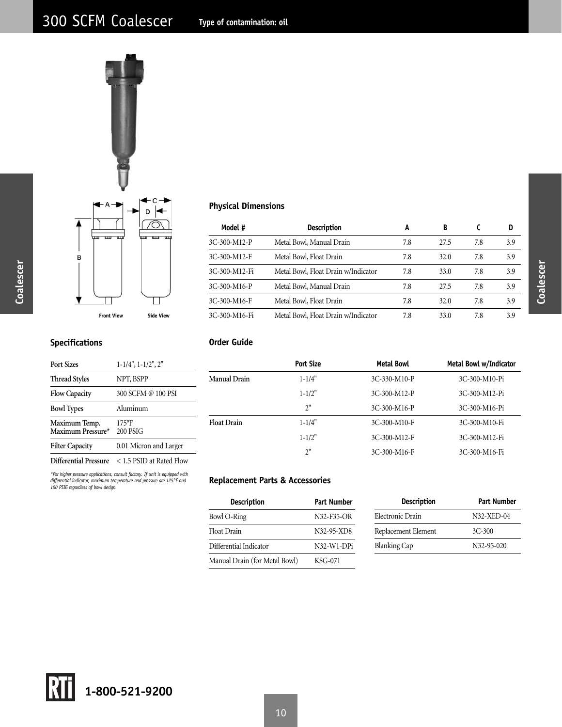

| Model #       | <b>Description</b>                  | A   | B    |     | D   |
|---------------|-------------------------------------|-----|------|-----|-----|
| 3C-300-M12-P  | Metal Bowl, Manual Drain            | 7.8 | 27.5 | 7.8 | 3.9 |
| 3C-300-M12-F  | Metal Bowl, Float Drain             | 7.8 | 32.0 | 7.8 | 3.9 |
| 3C-300-M12-Fi | Metal Bowl, Float Drain w/Indicator | 7.8 | 33.0 | 7.8 | 3.9 |
| 3C-300-M16-P  | Metal Bowl, Manual Drain            | 7.8 | 27.5 | 7.8 | 3.9 |
| 3C-300-M16-F  | Metal Bowl, Float Drain             | 7.8 | 32.0 | 7.8 | 3.9 |
| 3C-300-M16-Fi | Metal Bowl, Float Drain w/Indicator | 7.8 | 33.0 | 7.8 | 3.9 |

## **Specifications**

**Coalescer**

Coalescer

| <b>Port Sizes</b>                  | $1-1/4$ ", $1-1/2$ ", $2$ " |
|------------------------------------|-----------------------------|
| <b>Thread Styles</b>               | NPT, BSPP                   |
| <b>Flow Capacity</b>               | 300 SCFM @ 100 PSI          |
| <b>Bowl Types</b>                  | Aluminum                    |
| Maximum Temp.<br>Maximum Pressure* | $175$ °F<br>200 PSIG        |
| <b>Filter Capacity</b>             | 0.01 Micron and Larger      |
| Differential Pressure              | < 1.5 PSID at Rated Flow    |

# **Order Guide**

|                    | <b>Port Size</b> | <b>Metal Bowl</b> | Metal Bowl w/Indicator |
|--------------------|------------------|-------------------|------------------------|
| Manual Drain       | $1 - 1/4"$       | 3C-330-M10-P      | 3C-300-M10-Pi          |
|                    | $1 - 1/2"$       | 3C-300-M12-P      | 3C-300-M12-Pi          |
|                    | 2"               | 3C-300-M16-P      | 3C-300-M16-Pi          |
| <b>Float Drain</b> | $1 - 1/4"$       | 3C-300-M10-F      | 3C-300-M10-Fi          |
|                    | $1 - 1/2"$       | 3C-300-M12-F      | 3C-300-M12-Fi          |
|                    | 2"               | 3C-300-M16-F      | 3C-300-M16-Fi          |

*\*For higher pressure applications, consult factory. If unit is equipped with differential indicator, maximum temperature and pressure are 125°F and 150 PSIG regardless of bowl design.*

## **Replacement Parts & Accessories**

| <b>Description</b><br><b>Description</b><br><b>Part Number</b> |              |                     | <b>Part Number</b> |
|----------------------------------------------------------------|--------------|---------------------|--------------------|
| Bowl O-Ring                                                    | N32-F35-OR   | Electronic Drain    | N32-XED-04         |
| Float Drain                                                    | N32-95-XD8   | Replacement Element | 3C-300             |
| Differential Indicator                                         | $N32-W1-DP1$ | <b>Blanking Cap</b> | N32-95-020         |
| Manual Drain (for Metal Bowl)                                  | KSG-071      |                     |                    |

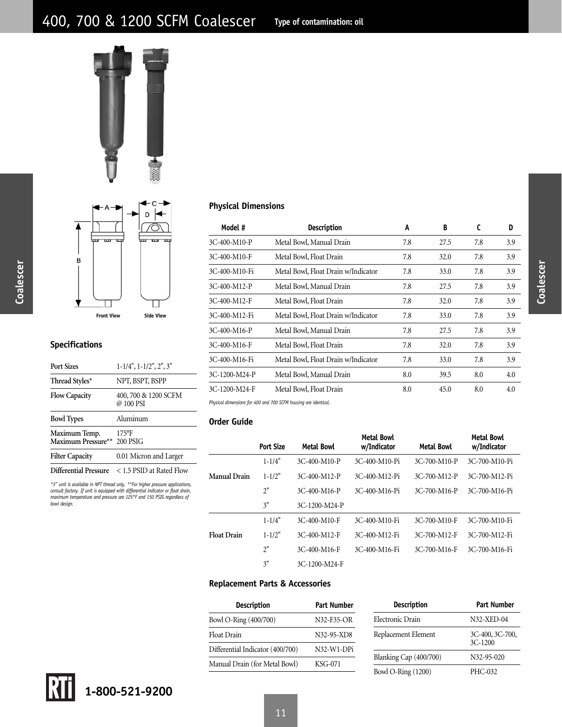



| Model #       | <b>Description</b>                  | A   | B    | C   | D   |
|---------------|-------------------------------------|-----|------|-----|-----|
| 3C-400-M10-P  | Metal Bowl, Manual Drain            | 7.8 | 27.5 | 7.8 | 3.9 |
| 3C-400-M10-F  | Metal Bowl, Float Drain             | 7.8 | 32.0 | 7.8 | 3.9 |
| 3C-400-M10-Fi | Metal Bowl, Float Drain w/Indicator | 7.8 | 33.0 | 7.8 | 3.9 |
| 3C-400-M12-P  | Metal Bowl, Manual Drain            | 7.8 | 27.5 | 7.8 | 3.9 |
| 3C-400-M12-F  | Metal Bowl, Float Drain             | 7.8 | 32.0 | 7.8 | 3.9 |
| 3C-400-M12-Fi | Metal Bowl, Float Drain w/Indicator | 7.8 | 33.0 | 7.8 | 3.9 |
| 3C-400-M16-P  | Metal Bowl, Manual Drain            | 7.8 | 27.5 | 7.8 | 3.9 |
| 3C-400-M16-F  | Metal Bowl, Float Drain             | 7.8 | 32.0 | 7.8 | 3.9 |
| 3C-400-M16-Fi | Metal Bowl, Float Drain w/Indicator | 7.8 | 33.0 | 7.8 | 3.9 |
| 3C-1200-M24-P | Metal Bowl, Manual Drain            | 8.0 | 39.5 | 8.0 | 4.0 |
| 3C-1200-M24-F | Metal Bowl, Float Drain             | 8.0 | 45.0 | 8.0 | 4.0 |
|               |                                     |     |      |     |     |

*Physical dimensions for 400 and 700 SCFM housing are identical.*

## **Order Guide**

L

|                    | <b>Port Size</b> | Metal Bowl     | <b>Metal Bowl</b><br>w/Indicator | <b>Metal Bowl</b> | <b>Metal Bowl</b><br>w/Indicator |
|--------------------|------------------|----------------|----------------------------------|-------------------|----------------------------------|
|                    | $1 - 1/4"$       | $3C-400-M10-P$ | 3C-400-M10-Pi                    | 3C-700-M10-P      | 3C-700-M10-Pi                    |
| Manual Drain       | $1 - 1/2"$       | 3C-400-M12-P   | 3C-400-M12-Pi                    | 3C-700-M12-P      | 3C-700-M12-Pi                    |
|                    | 2"               | 3C-400-M16-P   | 3C-400-M16-Pi                    | 3C-700-M16-P      | 3C-700-M16-Pi                    |
|                    | 3"               | 3C-1200-M24-P  |                                  |                   |                                  |
|                    | $1 - 1/4"$       | 3C-400-M10-F   | 3C-400-M10-Fi                    | 3C-700-M10-F      | 3C-700-M10-Fi                    |
| <b>Float Drain</b> | $1 - 1/2"$       | 3C-400-M12-F   | 3C-400-M12-Fi                    | 3C-700-M12-F      | 3C-700-M12-Fi                    |
|                    | 2"               | 3C-400-M16-F   | 3C-400-M16-Fi                    | 3C-700-M16-F      | 3C-700-M16-Fi                    |
|                    | 3"               | 3C-1200-M24-F  |                                  |                   |                                  |

## **Replacement Parts & Accessories**

| Description                      | Part Number                          |
|----------------------------------|--------------------------------------|
| Bowl O-Ring (400/700)            | N32-F35-OR                           |
| <b>Float Drain</b>               | N32-95-XD8                           |
| Differential Indicator (400/700) | N <sub>32</sub> -W <sub>1</sub> -DPi |
| Manual Drain (for Metal Bowl)    | KSG-071                              |

| Description               | <b>Part Number</b>           |  |  |
|---------------------------|------------------------------|--|--|
| Electronic Drain          | N32-XED-04                   |  |  |
| Replacement Element       | 3C-400, 3C-700,<br>$3C-1200$ |  |  |
| Blanking Cap (400/700)    | N32-95-020                   |  |  |
| <b>Bowl O-Ring (1200)</b> | PHC-032                      |  |  |

**Coalescer**

Coalescer

## **Specifications**

| <b>Port Sizes</b>                                                           | $1-1/4$ ", $1-1/2$ ", $2$ ", $3$ " |  |  |
|-----------------------------------------------------------------------------|------------------------------------|--|--|
| Thread Styles*                                                              | NPT, BSPT, BSPP                    |  |  |
| <b>Flow Capacity</b>                                                        | 400, 700 & 1200 SCFM<br>@ 100 PSI  |  |  |
| <b>Bowl Types</b>                                                           | Aluminum                           |  |  |
| Maximum Temp.<br>Maximum Pressure**                                         | $175$ °F<br>200 PSIG               |  |  |
| <b>Filter Capacity</b>                                                      | 0.01 Micron and Larger             |  |  |
| <b>Differential Pressure</b>                                                | < 1.5 PSID at Rated Flow           |  |  |
| *3" unit is available in NPT thread only **For higher pressure applications |                                    |  |  |

\*3" unit is available in NPT thread only. \*\*For higher pressure applications,<br>consult factory. If unit is equipped with differential indicator or float drain,<br>maximum temperature and pressure are 125°F and 150 PSIG regardl *bowl design.*

**Coalescer**

Coalescer